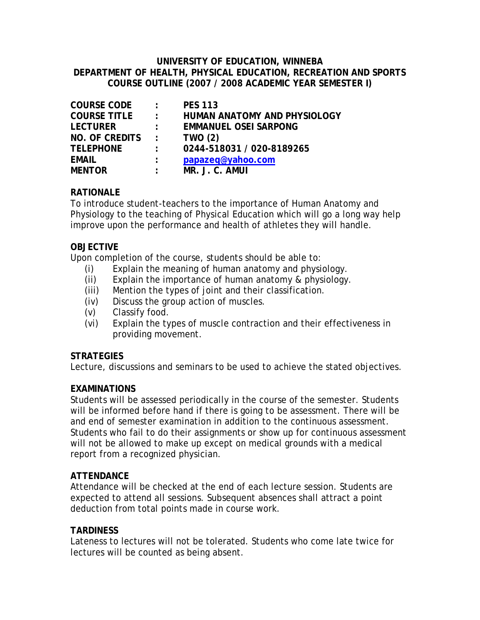#### **UNIVERSITY OF EDUCATION, WINNEBA DEPARTMENT OF HEALTH, PHYSICAL EDUCATION, RECREATION AND SPORTS COURSE OUTLINE (2007 / 2008 ACADEMIC YEAR SEMESTER I)**

| <b>COURSE CODE</b>    | $\mathcal{L}$              | <b>PES 113</b>                      |
|-----------------------|----------------------------|-------------------------------------|
| <b>COURSE TITLE</b>   | $\mathbb{R}^{\mathbb{Z}}$  | <b>HUMAN ANATOMY AND PHYSIOLOGY</b> |
| <b>LECTURER</b>       | $\mathbb{R}^{\mathbb{Z}}$  | <b>EMMANUEL OSEI SARPONG</b>        |
| <b>NO. OF CREDITS</b> | $\mathcal{L}^{\text{max}}$ | <b>TWO (2)</b>                      |
| <b>TELEPHONE</b>      | $\mathbb{R}^{\mathbb{Z}}$  | 0244-518031 / 020-8189265           |
| <b>EMAIL</b>          | $\ddot{\phantom{a}}$       | papazeq@yahoo.com                   |
| <b>MENTOR</b>         | $\ddot{\phantom{a}}$       | MR. J. C. AMUI                      |

# **RATIONALE**

To introduce student-teachers to the importance of Human Anatomy and Physiology to the teaching of Physical Education which will go a long way help improve upon the performance and health of athletes they will handle.

### **OBJECTIVE**

Upon completion of the course, students should be able to:

- (i) Explain the meaning of human anatomy and physiology.
- (ii) Explain the importance of human anatomy & physiology.
- (iii) Mention the types of joint and their classification.
- (iv) Discuss the group action of muscles.
- (v) Classify food.
- (vi) Explain the types of muscle contraction and their effectiveness in providing movement.

#### **STRATEGIES**

Lecture, discussions and seminars to be used to achieve the stated objectives.

# **EXAMINATIONS**

Students will be assessed periodically in the course of the semester. Students will be informed before hand if there is going to be assessment. There will be and end of semester examination in addition to the continuous assessment. Students who fail to do their assignments or show up for continuous assessment will not be allowed to make up except on medical grounds with a medical report from a recognized physician.

# **ATTENDANCE**

Attendance will be checked at the end of each lecture session. Students are expected to attend all sessions. Subsequent absences shall attract a point deduction from total points made in course work.

# **TARDINESS**

Lateness to lectures will not be tolerated. Students who come late twice for lectures will be counted as being absent.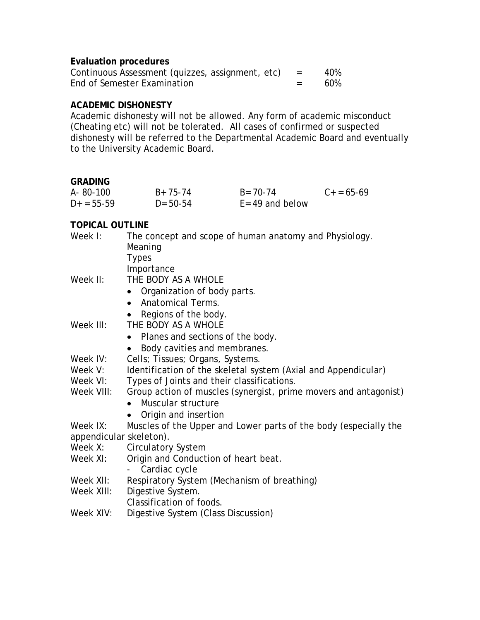### **Evaluation procedures**

| Continuous Assessment (quizzes, assignment, etc) | $=$ | 40% |
|--------------------------------------------------|-----|-----|
| End of Semester Examination                      |     | 60% |

### **ACADEMIC DISHONESTY**

Academic dishonesty will not be allowed. Any form of academic misconduct (Cheating etc) will not be tolerated. All cases of confirmed or suspected dishonesty will be referred to the Departmental Academic Board and eventually to the University Academic Board.

#### **GRADING**

| A-80-100     | $B+75-74$     | $B = 70 - 74$      | $C_{+} = 65 - 69$ |
|--------------|---------------|--------------------|-------------------|
| $D+ = 55-59$ | $D = 50 - 54$ | $E = 49$ and below |                   |

# **TOPICAL OUTLINE**

| The concept and scope of human anatomy and Physiology.<br>Meaning |
|-------------------------------------------------------------------|
| <b>Types</b>                                                      |
| Importance                                                        |
| THE BODY AS A WHOLE                                               |
| Organization of body parts.<br>$\bullet$                          |
| • Anatomical Terms.                                               |
| Regions of the body.                                              |
| THE BODY AS A WHOLE                                               |
| Planes and sections of the body.                                  |
| Body cavities and membranes.<br>$\bullet$                         |
| Cells; Tissues; Organs, Systems.                                  |
| Identification of the skeletal system (Axial and Appendicular)    |
| Types of Joints and their classifications.                        |
| Group action of muscles (synergist, prime movers and antagonist)  |
| Muscular structure                                                |
| Origin and insertion                                              |
| Muscles of the Upper and Lower parts of the body (especially the  |
| appendicular skeleton).                                           |
| <b>Circulatory System</b>                                         |
| Origin and Conduction of heart beat.                              |
| Cardiac cycle                                                     |
| Respiratory System (Mechanism of breathing)                       |
| Digestive System.                                                 |
| Classification of foods.                                          |
| Digestive System (Class Discussion)                               |
|                                                                   |